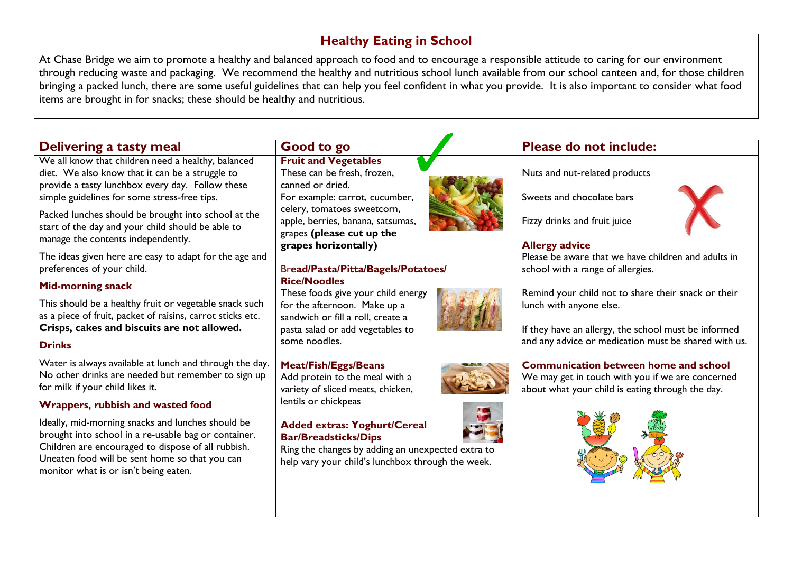## **Healthy Eating in School**

At Chase Bridge we aim to promote a healthy and balanced approach to food and to encourage a responsible attitude to caring for our environment through reducing waste and packaging. We recommend the healthy and nutritious school lunch available from our school canteen and, for those children bringing a packed lunch, there are some useful guidelines that can help you feel confident in what you provide. It is also important to consider what food items are brought in for snacks; these should be healthy and nutritious.

# **Delivering a tasty meal Good to go Please do not include:**

We all know that children need a healthy, balanced diet. We also know that it can be a struggle to provide a tasty lunchbox every day. Follow these simple guidelines for some stress-free tips.

Packed lunches should be brought into school at the start of the day and your child should be able to manage the contents independently.

The ideas given here are easy to adapt for the age and preferences of your child.

### **Mid-morning snack**

This should be a healthy fruit or vegetable snack such as a piece of fruit, packet of raisins, carrot sticks etc. **Crisps, cakes and biscuits are not allowed.**

#### **Drinks**

Water is always available at lunch and through the day. No other drinks are needed but remember to sign up for milk if your child likes it.

### **Wrappers, rubbish and wasted food**

Ideally, mid-morning snacks and lunches should be brought into school in a re-usable bag or container. Children are encouraged to dispose of all rubbish. Uneaten food will be sent home so that you can monitor what is or isn't being eaten.

#### **Fruit and Vegetables** These can be fresh, frozen,

canned or dried. For example: carrot, cucumber, celery, tomatoes sweetcorn, apple, berries, banana, satsumas, grapes **(please cut up the grapes horizontally)**

#### Br**ead/Pasta/Pitta/Bagels/Potatoes/ Rice/Noodles**

These foods give your child energy for the afternoon. Make up a sandwich or fill a roll, create a pasta salad or add vegetables to some noodles.

#### **Meat/Fish/Eggs/Beans**

Add protein to the meal with a variety of sliced meats, chicken, lentils or chickpeas

#### **Added extras: Yoghurt/Cereal Bar/Breadsticks/Dips**

Ring the changes by adding an unexpected extra to help vary your child's lunchbox through the week.



Nuts and nut-related products

Sweets and chocolate bars

Fizzy drinks and fruit juice

#### **Allergy advice**

Please be aware that we have children and adults in school with a range of allergies.

Remind your child not to share their snack or their lunch with anyone else.

If they have an allergy, the school must be informed and any advice or medication must be shared with us.

### **Communication between home and school**

We may get in touch with you if we are concerned about what your child is eating through the day.